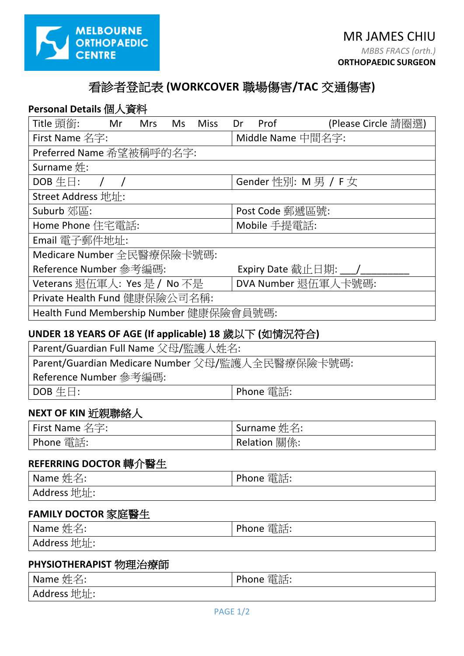

# 看診者登記表 **(WORKCOVER** 職場傷害**/TAC** 交通傷害**)**

# **Personal Details** 個人資料

| Title 頭銜:                               | Mr | <b>Mrs</b> | Ms | <b>Miss</b>         | Dr | Prof         | (Please Circle 請圈選)     |
|-----------------------------------------|----|------------|----|---------------------|----|--------------|-------------------------|
| First Name 名字:                          |    |            |    | Middle Name 中間名字:   |    |              |                         |
| Preferred Name 希望被稱呼的名字:                |    |            |    |                     |    |              |                         |
| Surname $#$ :                           |    |            |    |                     |    |              |                         |
| $DOB \oplus \Box$ :                     |    |            |    |                     |    |              | Gender 性別: M 男 / F 女    |
| Street Address 地址:                      |    |            |    |                     |    |              |                         |
| Suburb 郊區:                              |    |            |    |                     |    |              | Post Code 郵遞區號:         |
| Home Phone 住宅電話:                        |    |            |    |                     |    | Mobile 手提電話: |                         |
| Email 電子郵件地址:                           |    |            |    |                     |    |              |                         |
| Medicare Number 全民醫療保險卡號碼:              |    |            |    |                     |    |              |                         |
| Reference Number 參考編碼:                  |    |            |    |                     |    |              | Expiry Date 截止日期: ___/_ |
| Veterans 退伍軍人: Yes 是 / No 不是            |    |            |    | DVA Number 退伍軍人卡號碼: |    |              |                         |
| Private Health Fund 健康保險公司名稱:           |    |            |    |                     |    |              |                         |
| Health Fund Membership Number 健康保險會員號碼: |    |            |    |                     |    |              |                         |

## **UNDER 18 YEARS OF AGE (If applicable) 18** 歲以下 **(**如情況符合**)**

| Parent/Guardian Full Name 父母/監護人姓名:              |                   |  |  |
|--------------------------------------------------|-------------------|--|--|
| Parent/Guardian Medicare Number 父母/監護人全民醫療保險卡號碼: |                   |  |  |
| Reference Number 參考編碼:                           |                   |  |  |
| $\vert$ DOB $\pm \boxdot$ :                      | <b>∣Phone</b> 雷話: |  |  |

### **NEXT OF KIN 近親聯絡人**

| $^{\mathsf{I}}$ First Name 名字: | Surname $\nsubseteq$ $\angle$ : |
|--------------------------------|---------------------------------|
| 電話:<br>Phone                   | Relation 關係:                    |

## **REFERRING DOCTOR** 轉介醫生

| Name $\nleq \nleq$ : | 電話:<br>Phone |
|----------------------|--------------|
| Address 地址:          |              |

## **FAMILY DOCTOR** 家庭醫生

| · 妣 么·<br>Name<br>— ∙<br>∼⊥ | 電話:<br>Phone |
|-----------------------------|--------------|
| Address 地址:                 |              |

### **PHYSIOTHERAPIST** 物理治療師

| 姓名.         | 電話:   |
|-------------|-------|
| Name        | Phone |
| Address 地址: |       |